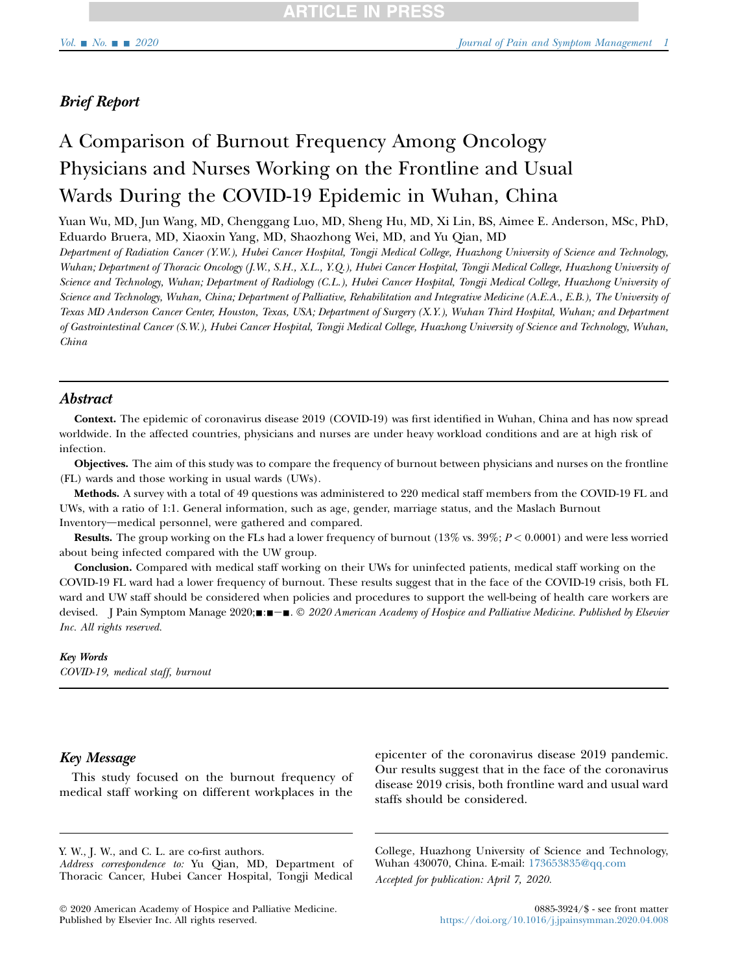## Brief Report

# A Comparison of Burnout Frequency Among Oncology Physicians and Nurses Working on the Frontline and Usual Wards During the COVID-19 Epidemic in Wuhan, China

Yuan Wu, MD, Jun Wang, MD, Chenggang Luo, MD, Sheng Hu, MD, Xi Lin, BS, Aimee E. Anderson, MSc, PhD, Eduardo Bruera, MD, Xiaoxin Yang, MD, Shaozhong Wei, MD, and Yu Qian, MD

Department of Radiation Cancer (Y.W.), Hubei Cancer Hospital, Tongji Medical College, Huazhong University of Science and Technology, Wuhan; Department of Thoracic Oncology (J.W., S.H., X.L., Y.Q.), Hubei Cancer Hospital, Tongji Medical College, Huazhong University of Science and Technology, Wuhan; Department of Radiology (C.L.), Hubei Cancer Hospital, Tongji Medical College, Huazhong University of Science and Technology, Wuhan, China; Department of Palliative, Rehabilitation and Integrative Medicine (A.E.A., E.B.), The University of Texas MD Anderson Cancer Center, Houston, Texas, USA; Department of Surgery (X.Y.), Wuhan Third Hospital, Wuhan; and Department of Gastrointestinal Cancer (S.W.), Hubei Cancer Hospital, Tongji Medical College, Huazhong University of Science and Technology, Wuhan, China

### **Abstract**

Context. The epidemic of coronavirus disease 2019 (COVID-19) was first identified in Wuhan, China and has now spread worldwide. In the affected countries, physicians and nurses are under heavy workload conditions and are at high risk of infection.

Objectives. The aim of this study was to compare the frequency of burnout between physicians and nurses on the frontline (FL) wards and those working in usual wards (UWs).

Methods. A survey with a total of 49 questions was administered to 220 medical staff members from the COVID-19 FL and UWs, with a ratio of 1:1. General information, such as age, gender, marriage status, and the Maslach Burnout Inventory—medical personnel, were gathered and compared.

**Results.** The group working on the FLs had a lower frequency of burnout  $(13\%$  vs.  $39\%; P < 0.0001)$  and were less worried about being infected compared with the UW group.

Conclusion. Compared with medical staff working on their UWs for uninfected patients, medical staff working on the COVID-19 FL ward had a lower frequency of burnout. These results suggest that in the face of the COVID-19 crisis, both FL ward and UW staff should be considered when policies and procedures to support the well-being of health care workers are devised. J Pain Symptom Manage 2020; $\blacksquare$ : $\blacksquare$  $\blacksquare$ .  $\heartsuit$  2020 American Academy of Hospice and Palliative Medicine. Published by Elsevier Inc. All rights reserved.

#### Key Words

COVID-19, medical staff, burnout

### Key Message

This study focused on the burnout frequency of medical staff working on different workplaces in the

Y. W., J. W., and C. L. are co-first authors. Address correspondence to: Yu Qian, MD, Department of Thoracic Cancer, Hubei Cancer Hospital, Tongji Medical

 2020 American Academy of Hospice and Palliative Medicine. Published by Elsevier Inc. All rights reserved.

epicenter of the coronavirus disease 2019 pandemic. Our results suggest that in the face of the coronavirus disease 2019 crisis, both frontline ward and usual ward staffs should be considered.

College, Huazhong University of Science and Technology, Wuhan 430070, China. E-mail: [173653835@qq.com](mailto:173653835@qq.com) Accepted for publication: April 7, 2020.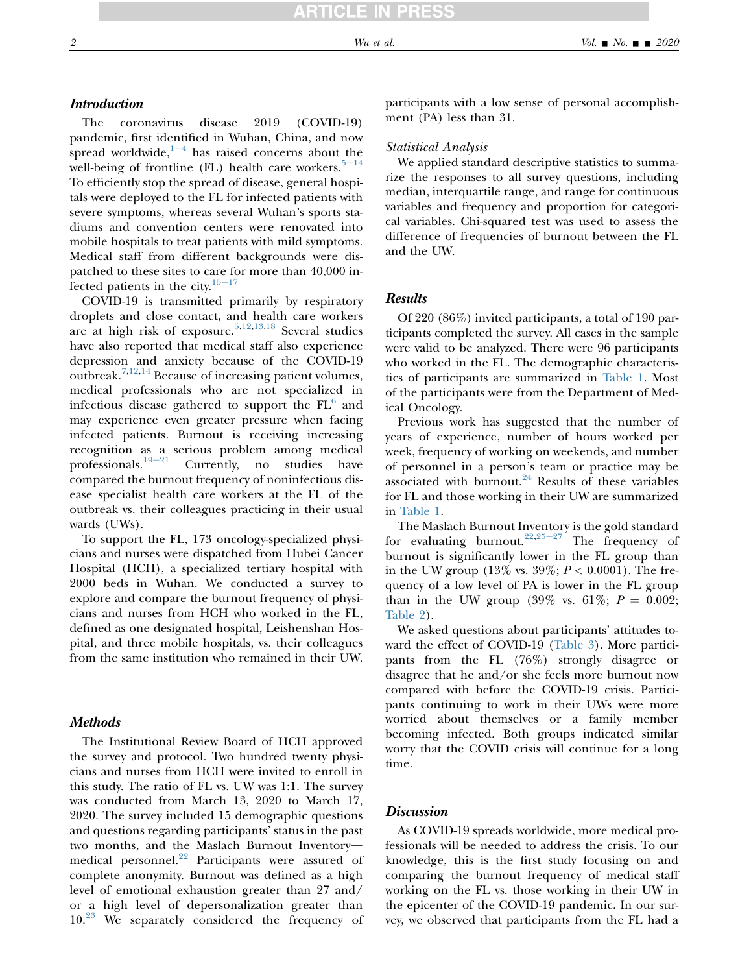### **Introduction**

The coronavirus disease 2019 (COVID-19) pandemic, first identified in Wuhan, China, and now spr[e](#page-4-0)ad worldwide, $1-4$  has raised concerns about the well-being of frontline (FL) health care workers.  $5-14$  $5-14$ To efficiently stop the spread of disease, general hospitals were deployed to the FL for infected patients with severe symptoms, whereas several Wuhan's sports stadiums and convention centers were renovated into mobile hospitals to treat patients with mild symptoms. Medical staff from different backgrounds were dispatched to these sites to care for more than 40,000 infected patients in the city. $15-17$  $15-17$ 

COVID-19 is transmitted primarily by respiratory droplets and close contact, and health care workers are at high risk of exposure.[5,](#page-4-1)[12](#page-4-3)[,13](#page-4-4)[,18](#page-4-5) Several studies have also reported that medical staff also experience depression and anxiety because of the COVID-19 outbreak.<sup>[7,](#page-4-6)[12](#page-4-3)[,14](#page-4-7)</sup> Because of increasing patient volumes, medical professionals who are not specialized in infectious disease gathered to support the  $FL<sup>6</sup>$  $FL<sup>6</sup>$  $FL<sup>6</sup>$  and may experience even greater pressure when facing infected patients. Burnout is receiving increasing recognition [as a](#page-4-9) serious problem among medical professionals.<sup>19-21</sup> Currently, no studies have Currently, no studies have compared the burnout frequency of noninfectious disease specialist health care workers at the FL of the outbreak vs. their colleagues practicing in their usual wards (UWs).

To support the FL, 173 oncology-specialized physicians and nurses were dispatched from Hubei Cancer Hospital (HCH), a specialized tertiary hospital with 2000 beds in Wuhan. We conducted a survey to explore and compare the burnout frequency of physicians and nurses from HCH who worked in the FL, defined as one designated hospital, Leishenshan Hospital, and three mobile hospitals, vs. their colleagues from the same institution who remained in their UW.

### **Methods**

The Institutional Review Board of HCH approved the survey and protocol. Two hundred twenty physicians and nurses from HCH were invited to enroll in this study. The ratio of FL vs. UW was 1:1. The survey was conducted from March 13, 2020 to March 17, 2020. The survey included 15 demographic questions and questions regarding participants' status in the past two months, and the Maslach Burnout Inventory-medical personnel.<sup>[22](#page-4-10)</sup> Participants were assured of complete anonymity. Burnout was defined as a high level of emotional exhaustion greater than 27 and/ or a high level of depersonalization greater than 10.[23](#page-4-11) We separately considered the frequency of participants with a low sense of personal accomplishment (PA) less than 31.

#### Statistical Analysis

We applied standard descriptive statistics to summarize the responses to all survey questions, including median, interquartile range, and range for continuous variables and frequency and proportion for categorical variables. Chi-squared test was used to assess the difference of frequencies of burnout between the FL and the UW.

### Results

Of 220 (86%) invited participants, a total of 190 participants completed the survey. All cases in the sample were valid to be analyzed. There were 96 participants who worked in the FL. The demographic characteristics of participants are summarized in [Table 1](#page-2-0). Most of the participants were from the Department of Medical Oncology.

Previous work has suggested that the number of years of experience, number of hours worked per week, frequency of working on weekends, and number of personnel in a person's team or practice may be associated with burnout. $24$  Results of these variables for FL and those working in their UW are summarized in [Table 1.](#page-2-0)

The Maslach Burnout Inventory is the gold standard for evaluating burnout.<sup>[22,](#page-4-10)25-[27](#page-4-13)</sup> The frequency of burnout is significantly lower in the FL group than in the UW group  $(13\% \text{ vs. } 39\%; P < 0.0001)$ . The frequency of a low level of PA is lower in the FL group than in the UW group (39% vs. 61%;  $P = 0.002$ ; [Table 2](#page-2-1)).

We asked questions about participants' attitudes toward the effect of COVID-19 ([Table 3](#page-3-0)). More participants from the FL (76%) strongly disagree or disagree that he and/or she feels more burnout now compared with before the COVID-19 crisis. Participants continuing to work in their UWs were more worried about themselves or a family member becoming infected. Both groups indicated similar worry that the COVID crisis will continue for a long time.

### **Discussion**

As COVID-19 spreads worldwide, more medical professionals will be needed to address the crisis. To our knowledge, this is the first study focusing on and comparing the burnout frequency of medical staff working on the FL vs. those working in their UW in the epicenter of the COVID-19 pandemic. In our survey, we observed that participants from the FL had a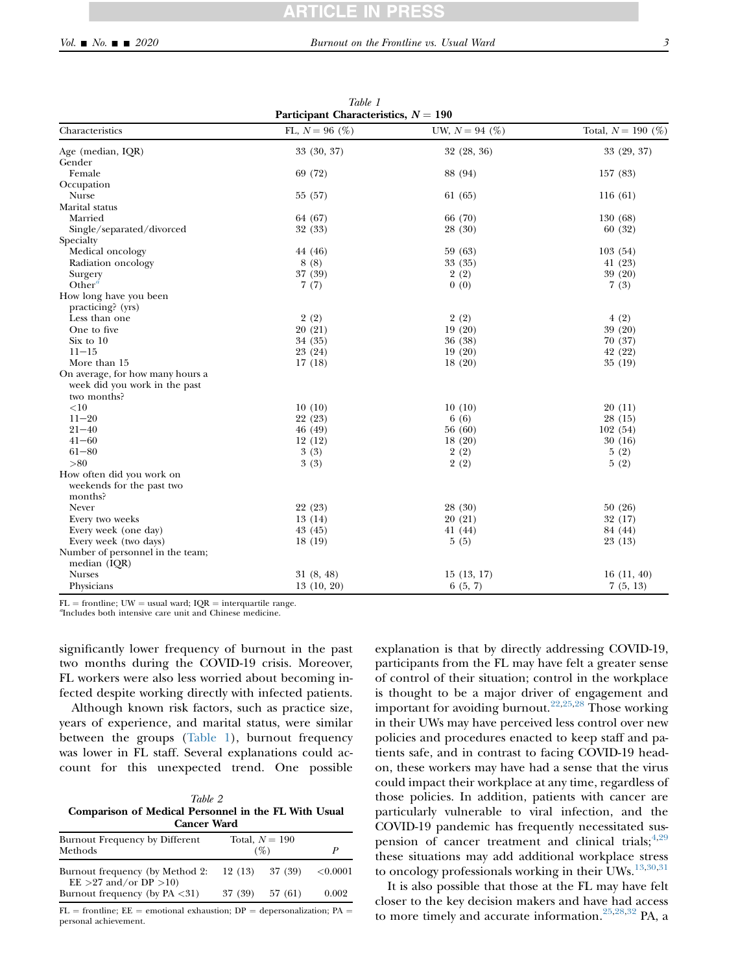<span id="page-2-0"></span>

| Participant Characteristics, $N = 190$       |                   |                  |                      |  |  |
|----------------------------------------------|-------------------|------------------|----------------------|--|--|
| Characteristics                              | FL, $N = 96$ (%)  | UW, $N = 94$ (%) | Total, $N = 190$ (%) |  |  |
| Age (median, IQR)                            | 33 (30, 37)       | 32 (28, 36)      | 33 (29, 37)          |  |  |
| Gender                                       |                   |                  |                      |  |  |
| Female                                       | 69 (72)           | 88 (94)          | 157(83)              |  |  |
| Occupation                                   |                   |                  |                      |  |  |
| Nurse                                        | 55 (57)           | 61 (65)          | 116(61)              |  |  |
| Marital status                               |                   |                  |                      |  |  |
| Married                                      | 64 (67)           | 66 (70)          | 130(68)              |  |  |
| Single/separated/divorced                    | 32 (33)           | 28 (30)          | 60(32)               |  |  |
| Specialty                                    |                   |                  |                      |  |  |
| Medical oncology                             | 44 (46)           | 59 (63)          | 103(54)              |  |  |
| Radiation oncology                           | 8(8)              | 33 (35)          | 41 (23)              |  |  |
| Surgery                                      | 37 (39)           | 2(2)             | 39 (20)              |  |  |
| Other <sup><math>a</math></sup>              | 7(7)              | 0(0)             | 7(3)                 |  |  |
| How long have you been                       |                   |                  |                      |  |  |
| practicing? (yrs)                            |                   |                  |                      |  |  |
| Less than one                                | 2(2)              | 2(2)             | 4(2)                 |  |  |
| One to five                                  | 20 (21)           | 19(20)           | 39 (20)              |  |  |
| Six to 10                                    | 34 (35)           | 36 (38)          | 70 (37)              |  |  |
| $11 - 15$                                    | 23 (24)           | 19(20)           | 42 (22)              |  |  |
| More than 15                                 | 17(18)            | 18(20)           | 35(19)               |  |  |
| On average, for how many hours a             |                   |                  |                      |  |  |
|                                              |                   |                  |                      |  |  |
| week did you work in the past<br>two months? |                   |                  |                      |  |  |
|                                              |                   |                  |                      |  |  |
| ${<}10$                                      | 10(10)<br>22 (23) | 10(10)           | 20(11)               |  |  |
| $11 - 20$                                    |                   | 6(6)             | 28 (15)              |  |  |
| $21 - 40$                                    | 46 (49)           | 56 (60)          | 102(54)              |  |  |
| $41 - 60$                                    | 12(12)            | 18(20)           | 30(16)               |  |  |
| $61 - 80$                                    | 3(3)              | 2(2)             | 5(2)                 |  |  |
| > 80                                         | 3(3)              | 2(2)             | 5(2)                 |  |  |
| How often did you work on                    |                   |                  |                      |  |  |
| weekends for the past two                    |                   |                  |                      |  |  |
| months?                                      |                   |                  |                      |  |  |
| Never                                        | 22 (23)           | 28 (30)          | 50(26)               |  |  |
| Every two weeks                              | 13(14)            | 20(21)           | 32 (17)              |  |  |
| Every week (one day)                         | 43 (45)           | 41(44)           | 84 (44)              |  |  |
| Every week (two days)                        | 18(19)            | 5(5)             | 23 (13)              |  |  |
| Number of personnel in the team;             |                   |                  |                      |  |  |
| median $(IQR)$                               |                   |                  |                      |  |  |
| <b>Nurses</b>                                | 31(8, 48)         | 15(13, 17)       | 16(11, 40)           |  |  |
| Physicians                                   | 13(10, 20)        | 6(5, 7)          | 7(5, 13)             |  |  |

Table 1

 $FL =$  frontline; UW = usual ward;  $IQR =$  interquartile range.

<span id="page-2-2"></span><sup>a</sup>Includes both intensive care unit and Chinese medicine.

significantly lower frequency of burnout in the past two months during the COVID-19 crisis. Moreover, FL workers were also less worried about becoming infected despite working directly with infected patients.

Although known risk factors, such as practice size, years of experience, and marital status, were similar between the groups ([Table 1\)](#page-2-0), burnout frequency was lower in FL staff. Several explanations could account for this unexpected trend. One possible

<span id="page-2-1"></span>

|                                                      |  | Table 2 |  |  |  |  |
|------------------------------------------------------|--|---------|--|--|--|--|
| Comparison of Medical Personnel in the FL With Usual |  |         |  |  |  |  |
| <b>Cancer Ward</b>                                   |  |         |  |  |  |  |

| Burnout Frequency by Different<br>Methods                      |  | Total, $N = 190$<br>$($ %) | P        |  |  |
|----------------------------------------------------------------|--|----------------------------|----------|--|--|
|                                                                |  |                            |          |  |  |
| Burnout frequency (by Method 2:<br>$EE > 27$ and/or DP $>10$ ) |  | $12(13)$ $37(39)$          | < 0.0001 |  |  |
| Burnout frequency (by $PA < 31$ )                              |  | $37(39)$ $57(61)$          | 0.002    |  |  |
|                                                                |  |                            |          |  |  |

 $FL =$  frontline;  $EE =$  emotional exhaustion;  $DP =$  depersonalization;  $PA =$ personal achievement.

explanation is that by directly addressing COVID-19, participants from the FL may have felt a greater sense of control of their situation; control in the workplace is thought to be a major driver of engagement and important for avoiding burnout.<sup>[22,](#page-4-10)[25,](#page-4-13)[28](#page-4-14)</sup> Those working in their UWs may have perceived less control over new policies and procedures enacted to keep staff and patients safe, and in contrast to facing COVID-19 headon, these workers may have had a sense that the virus could impact their workplace at any time, regardless of those policies. In addition, patients with cancer are particularly vulnerable to viral infection, and the COVID-19 pandemic has frequently necessitated suspension of cancer treatment and clinical trials;  $4,29$  $4,29$ these situations may add additional workplace stress to oncology professionals working in their UWs.<sup>[13,](#page-4-4)[30](#page-4-17)[,31](#page-4-18)</sup>

It is also possible that those at the FL may have felt closer to the key decision makers and have had access to more timely and accurate information.<sup>[25,](#page-4-13)[28,](#page-4-14)[32](#page-4-19)</sup> PA, a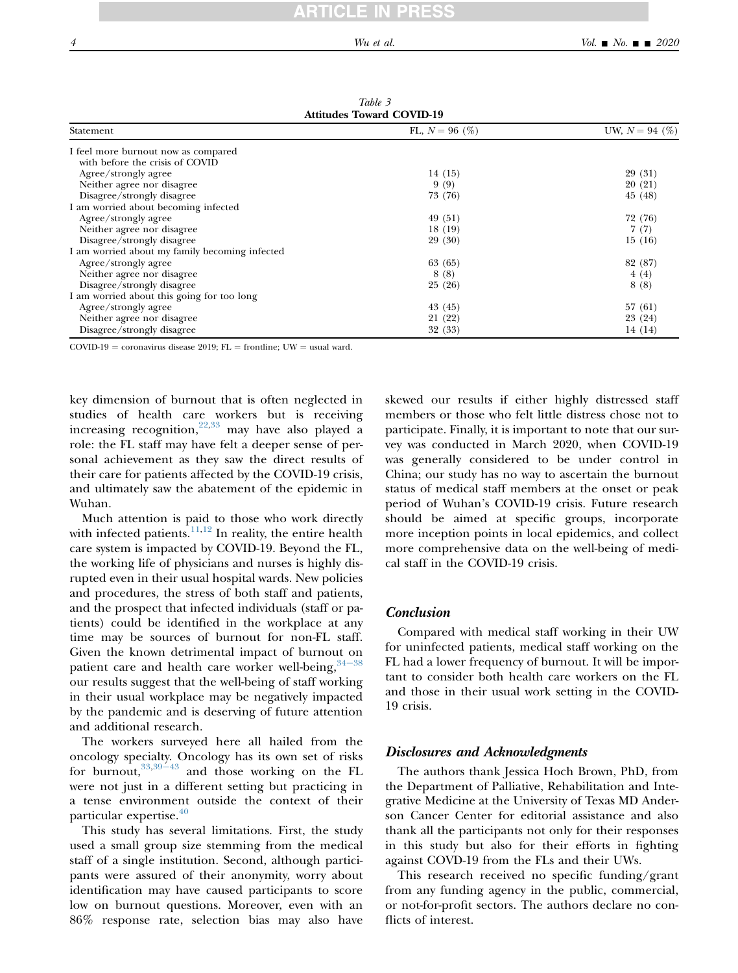<span id="page-3-0"></span>

| <b>Attitudes Toward COVID-19</b>               |                  |                  |  |  |
|------------------------------------------------|------------------|------------------|--|--|
| Statement                                      | FL, $N = 96$ (%) | UW, $N = 94$ (%) |  |  |
| I feel more burnout now as compared            |                  |                  |  |  |
| with before the crisis of COVID                |                  |                  |  |  |
| Agree/strongly agree                           | 14 (15)          | 29 (31)          |  |  |
| Neither agree nor disagree                     | 9(9)             | 20 (21)          |  |  |
| Disagree/strongly disagree                     | 73 (76)          | 45 (48)          |  |  |
| I am worried about becoming infected           |                  |                  |  |  |
| Agree/strongly agree                           | 49 (51)          | 72 (76)          |  |  |
| Neither agree nor disagree.                    | 18(19)           | 7(7)             |  |  |
| Disagree/strongly disagree                     | 29 (30)          | 15(16)           |  |  |
| I am worried about my family becoming infected |                  |                  |  |  |
| Agree/strongly agree                           | 63 (65)          | 82 (87)          |  |  |
| Neither agree nor disagree                     | 8(8)             | 4(4)             |  |  |
| Disagree/strongly disagree                     | 25(26)           | 8(8)             |  |  |
| I am worried about this going for too long     |                  |                  |  |  |
| Agree/strongly agree                           | 43 (45)          | 57(61)           |  |  |
| Neither agree nor disagree                     | 21 (22)          | 23 (24)          |  |  |
| Disagree/strongly disagree                     | 32 (33)          | 14 (14)          |  |  |

Table 3 Attitudes Toward COVID-19

COVID-19 = coronavirus disease 2019; FL = frontline; UW = usual ward.

key dimension of burnout that is often neglected in studies of health care workers but is receiving increasing recognition,<sup>[22,](#page-4-10)[33](#page-4-20)</sup> may have also played a role: the FL staff may have felt a deeper sense of personal achievement as they saw the direct results of their care for patients affected by the COVID-19 crisis, and ultimately saw the abatement of the epidemic in Wuhan.

Much attention is paid to those who work directly with infected patients. $11,12$  $11,12$  $11,12$  In reality, the entire health care system is impacted by COVID-19. Beyond the FL, the working life of physicians and nurses is highly disrupted even in their usual hospital wards. New policies and procedures, the stress of both staff and patients, and the prospect that infected individuals (staff or patients) could be identified in the workplace at any time may be sources of burnout for non-FL staff. Given the known detrimental impact of burno[ut on](#page-4-22) patient care and health care worker well-being,  $34-38$ our results suggest that the well-being of staff working in their usual workplace may be negatively impacted by the pandemic and is deserving of future attention and additional research.

The workers surveyed here all hailed from the oncology specialty. Oncology has its own set of risks for burnout,  $33,39-43$  $33,39-43$  $33,39-43$  and those working on the FL were not just in a different setting but practicing in a tense environment outside the context of their particular expertise.<sup>[40](#page-5-1)</sup>

This study has several limitations. First, the study used a small group size stemming from the medical staff of a single institution. Second, although participants were assured of their anonymity, worry about identification may have caused participants to score low on burnout questions. Moreover, even with an 86% response rate, selection bias may also have skewed our results if either highly distressed staff members or those who felt little distress chose not to participate. Finally, it is important to note that our survey was conducted in March 2020, when COVID-19 was generally considered to be under control in China; our study has no way to ascertain the burnout status of medical staff members at the onset or peak period of Wuhan's COVID-19 crisis. Future research should be aimed at specific groups, incorporate more inception points in local epidemics, and collect more comprehensive data on the well-being of medical staff in the COVID-19 crisis.

#### Conclusion

Compared with medical staff working in their UW for uninfected patients, medical staff working on the FL had a lower frequency of burnout. It will be important to consider both health care workers on the FL and those in their usual work setting in the COVID-19 crisis.

#### Disclosures and Acknowledgments

The authors thank Jessica Hoch Brown, PhD, from the Department of Palliative, Rehabilitation and Integrative Medicine at the University of Texas MD Anderson Cancer Center for editorial assistance and also thank all the participants not only for their responses in this study but also for their efforts in fighting against COVD-19 from the FLs and their UWs.

This research received no specific funding/grant from any funding agency in the public, commercial, or not-for-profit sectors. The authors declare no conflicts of interest.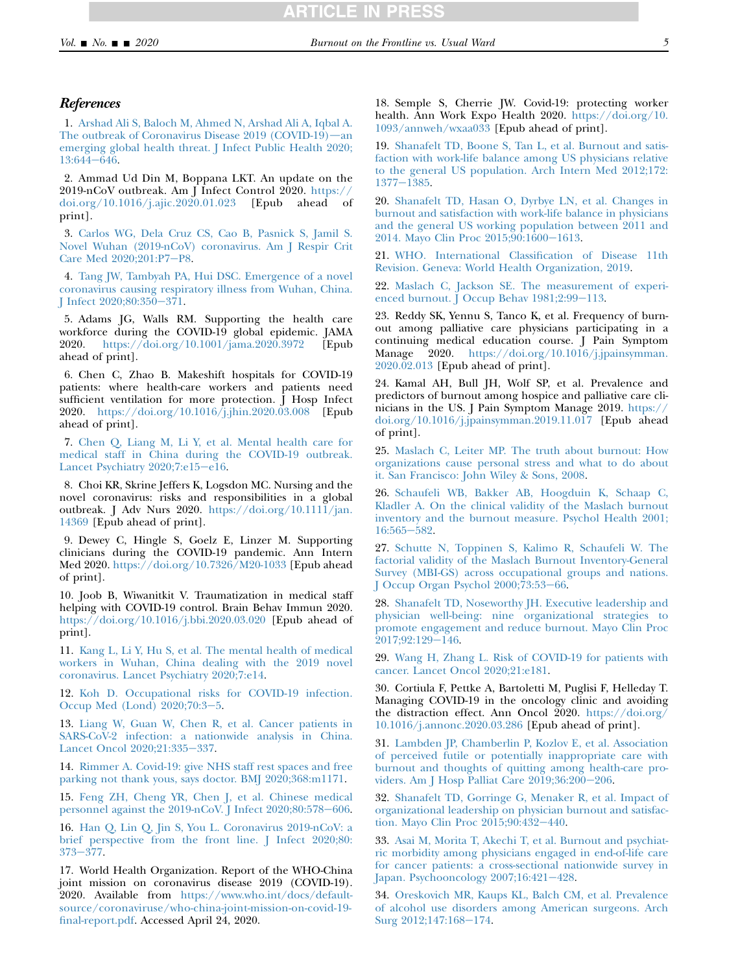#### **References**

<span id="page-4-0"></span>1. [Arshad Ali S, Baloch M, Ahmed N, Arshad Ali A, Iqbal A.](http://refhub.elsevier.com/S0885-3924(20)30205-0/sref1) The outbreak of Coronavirus Disease  $2019$  (COVID-19)—an [emerging global health threat. J Infect Public Health 2020;](http://refhub.elsevier.com/S0885-3924(20)30205-0/sref1) [13:644](http://refhub.elsevier.com/S0885-3924(20)30205-0/sref1)-646.

2. Ammad Ud Din M, Boppana LKT. An update on the 2019-nCoV outbreak. Am J Infect Control 2020. [https://](https://doi.org/10.1016/j.ajic.2020.01.023) [doi.org/10.1016/j.ajic.2020.01.023](https://doi.org/10.1016/j.ajic.2020.01.023) [Epub ahead of print].

3. [Carlos WG, Dela Cruz CS, Cao B, Pasnick S, Jamil S.](http://refhub.elsevier.com/S0885-3924(20)30205-0/sref3) [Novel Wuhan \(2019-nCoV\) coronavirus. Am J Respir Crit](http://refhub.elsevier.com/S0885-3924(20)30205-0/sref3) [Care Med 2020;201:P7](http://refhub.elsevier.com/S0885-3924(20)30205-0/sref3)-P8.

<span id="page-4-15"></span>4. [Tang JW, Tambyah PA, Hui DSC. Emergence of a novel](http://refhub.elsevier.com/S0885-3924(20)30205-0/sref4) [coronavirus causing respiratory illness from Wuhan, China.](http://refhub.elsevier.com/S0885-3924(20)30205-0/sref4) J Infect  $2020;80:350-371$ .

<span id="page-4-1"></span>5. Adams JG, Walls RM. Supporting the health care workforce during the COVID-19 global epidemic. JAMA 2020. <https://doi.org/10.1001/jama.2020.3972> [Epub ahead of print].

<span id="page-4-8"></span>6. Chen C, Zhao B. Makeshift hospitals for COVID-19 patients: where health-care workers and patients need sufficient ventilation for more protection. J Hosp Infect 2020. <https://doi.org/10.1016/j.jhin.2020.03.008> [Epub ahead of print].

<span id="page-4-6"></span>7. [Chen Q, Liang M, Li Y, et al. Mental health care for](http://refhub.elsevier.com/S0885-3924(20)30205-0/sref7) [medical staff in China during the COVID-19 outbreak.](http://refhub.elsevier.com/S0885-3924(20)30205-0/sref7) [Lancet Psychiatry 2020;7:e15](http://refhub.elsevier.com/S0885-3924(20)30205-0/sref7)-e16.

8. Choi KR, Skrine Jeffers K, Logsdon MC. Nursing and the novel coronavirus: risks and responsibilities in a global outbreak. J Adv Nurs 2020. [https://doi.org/10.1111/jan.](https://doi.org/10.1111/jan.14369) [14369](https://doi.org/10.1111/jan.14369) [Epub ahead of print].

9. Dewey C, Hingle S, Goelz E, Linzer M. Supporting clinicians during the COVID-19 pandemic. Ann Intern Med 2020. <https://doi.org/10.7326/M20-1033> [Epub ahead of print].

10. Joob B, Wiwanitkit V. Traumatization in medical staff helping with COVID-19 control. Brain Behav Immun 2020. <https://doi.org/10.1016/j.bbi.2020.03.020> [Epub ahead of print].

<span id="page-4-21"></span>11. [Kang L, Li Y, Hu S, et al. The mental health of medical](http://refhub.elsevier.com/S0885-3924(20)30205-0/sref11) [workers in Wuhan, China dealing with the 2019 novel](http://refhub.elsevier.com/S0885-3924(20)30205-0/sref11) [coronavirus. Lancet Psychiatry 2020;7:e14](http://refhub.elsevier.com/S0885-3924(20)30205-0/sref11).

<span id="page-4-3"></span>12. [Koh D. Occupational risks for COVID-19 infection.](http://refhub.elsevier.com/S0885-3924(20)30205-0/sref12) Occup Med (Lond)  $2020;70:3-5$ .

<span id="page-4-4"></span>13. [Liang W, Guan W, Chen R, et al. Cancer patients in](http://refhub.elsevier.com/S0885-3924(20)30205-0/sref13) [SARS-CoV-2 infection: a nationwide analysis in China.](http://refhub.elsevier.com/S0885-3924(20)30205-0/sref13) [Lancet Oncol 2020;21:335](http://refhub.elsevier.com/S0885-3924(20)30205-0/sref13)-337.

<span id="page-4-7"></span><span id="page-4-2"></span>14. [Rimmer A. Covid-19: give NHS staff rest spaces and free](http://refhub.elsevier.com/S0885-3924(20)30205-0/sref14) [parking not thank yous, says doctor. BMJ 2020;368:m1171](http://refhub.elsevier.com/S0885-3924(20)30205-0/sref14).

15. [Feng ZH, Cheng YR, Chen J, et al. Chinese medical](http://refhub.elsevier.com/S0885-3924(20)30205-0/sref15) personnel against the  $2019$ -nCoV. J Infect  $2020;80:578-606$ .

16. [Han Q, Lin Q, Jin S, You L. Coronavirus 2019-nCoV: a](http://refhub.elsevier.com/S0885-3924(20)30205-0/sref16) [brief perspective from the front line. J Infect 2020;80:](http://refhub.elsevier.com/S0885-3924(20)30205-0/sref16) 373e[377.](http://refhub.elsevier.com/S0885-3924(20)30205-0/sref16)

17. World Health Organization. Report of the WHO-China joint mission on coronavirus disease 2019 (COVID-19). 2020. Available from [https://www.who.int/docs/default](https://www.who.int/docs/default-source/coronaviruse/who-china-joint-mission-on-covid-19-final-report.pdf)[source/coronaviruse/who-china-joint-mission-on-covid-19](https://www.who.int/docs/default-source/coronaviruse/who-china-joint-mission-on-covid-19-final-report.pdf) [final-report.pdf](https://www.who.int/docs/default-source/coronaviruse/who-china-joint-mission-on-covid-19-final-report.pdf). Accessed April 24, 2020.

<span id="page-4-5"></span>18. Semple S, Cherrie JW. Covid-19: protecting worker health. Ann Work Expo Health 2020. [https://doi.org/10.](https://doi.org/10.1093/annweh/wxaa033) [1093/annweh/wxaa033](https://doi.org/10.1093/annweh/wxaa033) [Epub ahead of print].

<span id="page-4-9"></span>19. [Shanafelt TD, Boone S, Tan L, et al. Burnout and satis](http://refhub.elsevier.com/S0885-3924(20)30205-0/sref19)[faction with work-life balance among US physicians relative](http://refhub.elsevier.com/S0885-3924(20)30205-0/sref19) [to the general US population. Arch Intern Med 2012;172:](http://refhub.elsevier.com/S0885-3924(20)30205-0/sref19)  $1377 - 1385.$  $1377 - 1385.$ 

20. [Shanafelt TD, Hasan O, Dyrbye LN, et al. Changes in](http://refhub.elsevier.com/S0885-3924(20)30205-0/sref20) [burnout and satisfaction with work-life balance in physicians](http://refhub.elsevier.com/S0885-3924(20)30205-0/sref20) [and the general US working population between 2011 and](http://refhub.elsevier.com/S0885-3924(20)30205-0/sref20) [2014. Mayo Clin Proc 2015;90:1600](http://refhub.elsevier.com/S0885-3924(20)30205-0/sref20)-1613.

21. [WHO. International Classification of Disease 11th](http://refhub.elsevier.com/S0885-3924(20)30205-0/sref21) [Revision. Geneva: World Health Organization, 2019](http://refhub.elsevier.com/S0885-3924(20)30205-0/sref21).

<span id="page-4-10"></span>22. [Maslach C, Jackson SE. The measurement of experi](http://refhub.elsevier.com/S0885-3924(20)30205-0/sref22)[enced burnout. J Occup Behav 1981;2:99](http://refhub.elsevier.com/S0885-3924(20)30205-0/sref22)-113.

<span id="page-4-11"></span>23. Reddy SK, Yennu S, Tanco K, et al. Frequency of burnout among palliative care physicians participating in a continuing medical education course. J Pain Symptom Manage 2020. [https://doi.org/10.1016/j.jpainsymman.](https://doi.org/10.1016/j.jpainsymman.2020.02.013) [2020.02.013](https://doi.org/10.1016/j.jpainsymman.2020.02.013) [Epub ahead of print].

<span id="page-4-12"></span>24. Kamal AH, Bull JH, Wolf SP, et al. Prevalence and predictors of burnout among hospice and palliative care clinicians in the US. J Pain Symptom Manage 2019. [https://](https://doi.org/10.1016/j.jpainsymman.2019.11.017) [doi.org/10.1016/j.jpainsymman.2019.11.017](https://doi.org/10.1016/j.jpainsymman.2019.11.017) [Epub ahead of print].

<span id="page-4-13"></span>25. [Maslach C, Leiter MP. The truth about burnout: How](http://refhub.elsevier.com/S0885-3924(20)30205-0/sref25) [organizations cause personal stress and what to do about](http://refhub.elsevier.com/S0885-3924(20)30205-0/sref25) [it. San Francisco: John Wiley & Sons, 2008.](http://refhub.elsevier.com/S0885-3924(20)30205-0/sref25)

26. [Schaufeli WB, Bakker AB, Hoogduin K, Schaap C,](http://refhub.elsevier.com/S0885-3924(20)30205-0/sref26) [Kladler A. On the clinical validity of the Maslach burnout](http://refhub.elsevier.com/S0885-3924(20)30205-0/sref26) [inventory and the burnout measure. Psychol Health 2001;](http://refhub.elsevier.com/S0885-3924(20)30205-0/sref26) [16:565](http://refhub.elsevier.com/S0885-3924(20)30205-0/sref26)-582.

27. [Schutte N, Toppinen S, Kalimo R, Schaufeli W. The](http://refhub.elsevier.com/S0885-3924(20)30205-0/sref27) [factorial validity of the Maslach Burnout Inventory-General](http://refhub.elsevier.com/S0885-3924(20)30205-0/sref27) [Survey \(MBI-GS\) across occupational groups and nations.](http://refhub.elsevier.com/S0885-3924(20)30205-0/sref27) [J Occup Organ Psychol 2000;73:53](http://refhub.elsevier.com/S0885-3924(20)30205-0/sref27)-66.

<span id="page-4-14"></span>28. [Shanafelt TD, Noseworthy JH. Executive leadership and](http://refhub.elsevier.com/S0885-3924(20)30205-0/sref28) [physician well-being: nine organizational strategies to](http://refhub.elsevier.com/S0885-3924(20)30205-0/sref28) [promote engagement and reduce burnout. Mayo Clin Proc](http://refhub.elsevier.com/S0885-3924(20)30205-0/sref28) [2017;92:129](http://refhub.elsevier.com/S0885-3924(20)30205-0/sref28)-146.

<span id="page-4-16"></span>29. [Wang H, Zhang L. Risk of COVID-19 for patients with](http://refhub.elsevier.com/S0885-3924(20)30205-0/sref29) [cancer. Lancet Oncol 2020;21:e181.](http://refhub.elsevier.com/S0885-3924(20)30205-0/sref29)

<span id="page-4-17"></span>30. Cortiula F, Pettke A, Bartoletti M, Puglisi F, Helleday T. Managing COVID-19 in the oncology clinic and avoiding the distraction effect. Ann Oncol 2020. [https://doi.org/](https://doi.org/10.1016/j.annonc.2020.03.286) [10.1016/j.annonc.2020.03.286](https://doi.org/10.1016/j.annonc.2020.03.286) [Epub ahead of print].

<span id="page-4-18"></span>31. [Lambden JP, Chamberlin P, Kozlov E, et al. Association](http://refhub.elsevier.com/S0885-3924(20)30205-0/sref31) [of perceived futile or potentially inappropriate care with](http://refhub.elsevier.com/S0885-3924(20)30205-0/sref31) [burnout and thoughts of quitting among health-care pro](http://refhub.elsevier.com/S0885-3924(20)30205-0/sref31)viders. Am J Hosp Palliat Care  $2019;36:200-206$ .

<span id="page-4-19"></span>32. [Shanafelt TD, Gorringe G, Menaker R, et al. Impact of](http://refhub.elsevier.com/S0885-3924(20)30205-0/sref32) [organizational leadership on physician burnout and satisfac](http://refhub.elsevier.com/S0885-3924(20)30205-0/sref32)[tion. Mayo Clin Proc 2015;90:432](http://refhub.elsevier.com/S0885-3924(20)30205-0/sref32)-440.

<span id="page-4-20"></span>33. [Asai M, Morita T, Akechi T, et al. Burnout and psychiat](http://refhub.elsevier.com/S0885-3924(20)30205-0/sref33)[ric morbidity among physicians engaged in end-of-life care](http://refhub.elsevier.com/S0885-3924(20)30205-0/sref33) [for cancer patients: a cross-sectional nationwide survey in](http://refhub.elsevier.com/S0885-3924(20)30205-0/sref33) [Japan. Psychooncology 2007;16:421](http://refhub.elsevier.com/S0885-3924(20)30205-0/sref33)-428.

<span id="page-4-22"></span>34. [Oreskovich MR, Kaups KL, Balch CM, et al. Prevalence](http://refhub.elsevier.com/S0885-3924(20)30205-0/sref34) [of alcohol use disorders among American surgeons. Arch](http://refhub.elsevier.com/S0885-3924(20)30205-0/sref34) [Surg 2012;147:168](http://refhub.elsevier.com/S0885-3924(20)30205-0/sref34)-174.